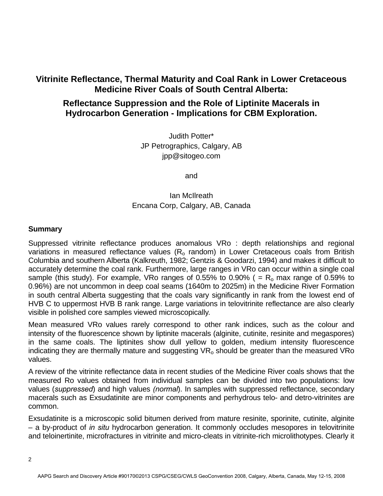## **Vitrinite Reflectance, Thermal Maturity and Coal Rank in Lower Cretaceous Medicine River Coals of South Central Alberta:**

# **Reflectance Suppression and the Role of Liptinite Macerals in Hydrocarbon Generation - Implications for CBM Exploration.**

Judith Potter\* JP Petrographics, Calgary, AB jpp@sitogeo.com

and

## Ian McIlreath Encana Corp, Calgary, AB, Canada

### **Summary**

Suppressed vitrinite reflectance produces anomalous VRo : depth relationships and regional variations in measured reflectance values  $(R<sub>o</sub>$  random) in Lower Cretaceous coals from British Columbia and southern Alberta (Kalkreuth, 1982; Gentzis & Goodarzi, 1994) and makes it difficult to accurately determine the coal rank. Furthermore, large ranges in VRo can occur within a single coal sample (this study). For example, VRo ranges of 0.55% to 0.90% ( =  $R_0$  max range of 0.59% to 0.96%) are not uncommon in deep coal seams (1640m to 2025m) in the Medicine River Formation in south central Alberta suggesting that the coals vary significantly in rank from the lowest end of HVB C to uppermost HVB B rank range. Large variations in telovitrinite reflectance are also clearly visible in polished core samples viewed microscopically.

Mean measured VRo values rarely correspond to other rank indices, such as the colour and intensity of the fluorescence shown by liptinite macerals (alginite, cutinite, resinite and megaspores) in the same coals. The liptinites show dull yellow to golden, medium intensity fluorescence indicating they are thermally mature and suggesting  $VR<sub>o</sub>$  should be greater than the measured VRo values.

A review of the vitrinite reflectance data in recent studies of the Medicine River coals shows that the measured Ro values obtained from individual samples can be divided into two populations: low values (*suppressed*) and high values *(normal*). In samples with suppressed reflectance, secondary macerals such as Exsudatinite are minor components and perhydrous telo- and detro-vitrinites are common.

Exsudatinite is a microscopic solid bitumen derived from mature resinite, sporinite, cutinite, alginite – a by-product of *in situ* hydrocarbon generation. It commonly occludes mesopores in telovitrinite and teloinertinite, microfractures in vitrinite and micro-cleats in vitrinite-rich microlithotypes. Clearly it